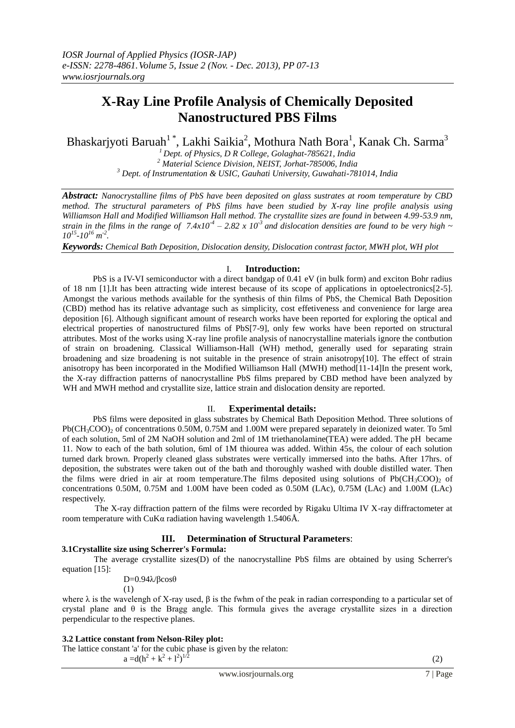# **X-Ray Line Profile Analysis of Chemically Deposited Nanostructured PBS Films**

Bhaskarjyoti Baruah<sup>1</sup>\*, Lakhi Saikia<sup>2</sup>, Mothura Nath Bora<sup>1</sup>, Kanak Ch. Sarma<sup>3</sup>

*<sup>1</sup>Dept. of Physics, D R College, Golaghat-785621, India <sup>2</sup> Material Science Division, NEIST, Jorhat-785006, India <sup>3</sup> Dept. of Instrumentation & USIC, Gauhati University, Guwahati-781014, India*

*Abstract: Nanocrystalline films of PbS have been deposited on glass sustrates at room temperature by CBD method. The structural parameters of PbS films have been studied by X-ray line profile analysis using Williamson Hall and Modified Williamson Hall method. The crystallite sizes are found in between 4.99-53.9 nm, strain in the films in the range of*  $7.4x10^4 - 2.82 \times 10^3$  *and dislocation densities are found to be very high*  $\sim$  $10^{15} \text{--} 10^{16} \text{ m}^{-2}$ .

*Keywords: Chemical Bath Deposition, Dislocation density, Dislocation contrast factor, MWH plot, WH plot*

## I. **Introduction:**

PbS is a IV-VI semiconductor with a direct bandgap of 0.41 eV (in bulk form) and exciton Bohr radius of 18 nm [1].It has been attracting wide interest because of its scope of applications in optoelectronics[2-5]. Amongst the various methods available for the synthesis of thin films of PbS, the Chemical Bath Deposition (CBD) method has its relative advantage such as simplicity, cost effetiveness and convenience for large area deposition [6]. Although significant amount of research works have been reported for exploring the optical and electrical properties of nanostructured films of PbS[7-9], only few works have been reported on structural attributes. Most of the works using X-ray line profile analysis of nanocrystalline materials ignore the contbution of strain on broadening. Classical Williamson-Hall (WH) method, generally used for separating strain broadening and size broadening is not suitable in the presence of strain anisotropy[10]. The effect of strain anisotropy has been incorporated in the Modified Williamson Hall (MWH) method[11-14]In the present work, the X-ray diffraction patterns of nanocrystalline PbS films prepared by CBD method have been analyzed by WH and MWH method and crystallite size, lattice strain and dislocation density are reported.

## II. **Experimental details:**

PbS films were deposited in glass substrates by Chemical Bath Deposition Method. Three solutions of Pb(CH<sub>3</sub>COO)<sub>2</sub> of concentrations 0.50M, 0.75M and 1.00M were prepared separately in deionized water. To 5ml of each solution, 5ml of 2M NaOH solution and 2ml of 1M triethanolamine(TEA) were added. The pH became 11. Now to each of the bath solution, 6ml of 1M thiourea was added. Within 45s, the colour of each solution turned dark brown. Properly cleaned glass substrates were vertically immersed into the baths. After 17hrs. of deposition, the substrates were taken out of the bath and thoroughly washed with double distilled water. Then the films were dried in air at room temperature. The films deposited using solutions of  $Pb(CH_3COO)$ , of concentrations 0.50M, 0.75M and 1.00M have been coded as 0.50M (LAc), 0.75M (LAc) and 1.00M (LAc) respectively.

 The X-ray diffraction pattern of the films were recorded by Rigaku Ultima IV X-ray diffractometer at room temperature with CuKα radiation having wavelength 1.5406Å.

# **III. Determination of Structural Parameters**:

# **3.1Crystallite size using Scherrer's Formula:**

The average crystallite sizes(D) of the nanocrystalline PbS films are obtained by using Scherrer's equation [15]:

D=0.94λ/βcosθ (1)

where  $\lambda$  is the wavelengh of X-ray used,  $\beta$  is the fwhm of the peak in radian corresponding to a particular set of crystal plane and  $\theta$  is the Bragg angle. This formula gives the average crystallite sizes in a direction perpendicular to the respective planes.

# **3.2 Lattice constant from Nelson-Riley plot:**

The lattice constant 'a' for the cubic phase is given by the relaton:  $a = d(h^2 + k^2 + l^2)^{1/2}$ (2)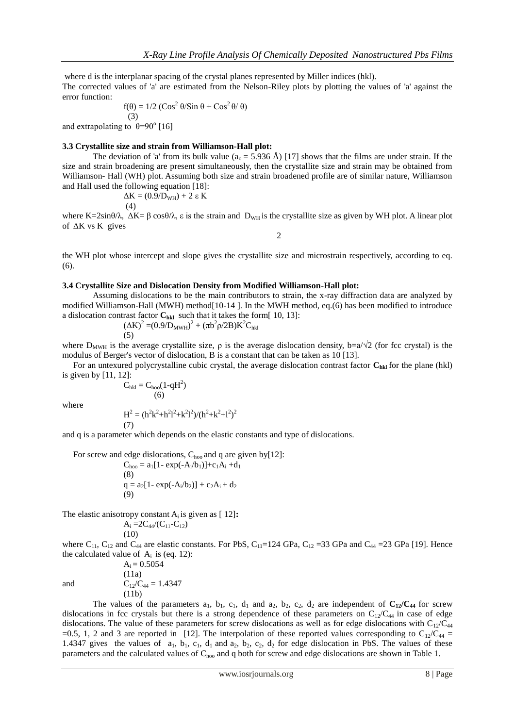where d is the interplanar spacing of the crystal planes represented by Miller indices (hkl). The corrected values of 'a' are estimated from the Nelson-Riley plots by plotting the values of 'a' against the error function:

$$
f(\theta) = 1/2 \left( \cos^2 \theta / \sin \theta + \cos^2 \theta / \theta \right)
$$

 (3) and extrapolating to  $\theta = 90^\circ$  [16]

## **3.3 Crystallite size and strain from Williamson-Hall plot:**

The deviation of 'a' from its bulk value ( $a_0 = 5.936$  Å) [17] shows that the films are under strain. If the size and strain broadening are present simultaneously, then the crystallite size and strain may be obtained from Williamson- Hall (WH) plot. Assuming both size and strain broadened profile are of similar nature, Williamson and Hall used the following equation [18]:

$$
\Delta K = (0.9/\text{D}_{WH}) + 2 \epsilon K
$$
  
(4)

where K=2sin $\theta/\lambda$ ,  $\Delta K = \beta \cos \theta/\lambda$ ,  $\varepsilon$  is the strain and D<sub>WH</sub> is the crystallite size as given by WH plot. A linear plot of ΔK vs K gives

2

the WH plot whose intercept and slope gives the crystallite size and microstrain respectively, according to eq. (6).

#### **3.4 Crystallite Size and Dislocation Density from Modified Williamson-Hall plot:**

Assuming dislocations to be the main contributors to strain, the x-ray diffraction data are analyzed by modified Williamson-Hall (MWH) method[10-14 ]. In the MWH method, eq.(6) has been modified to introduce a dislocation contrast factor  $C_{hkl}$  such that it takes the form[ 10, 13]:

$$
(\Delta K)^{2} = (0.9/D_{MWH})^{2} + (\pi b^{2} \rho/2B) K^{2} C_{hkl}
$$
\n(5)

where  $D_{MWH}$  is the average crystallite size,  $\rho$  is the average dislocation density, b=a/ $\sqrt{2}$  (for fcc crystal) is the modulus of Berger's vector of dislocation, B is a constant that can be taken as 10 [13].

For an untexured polycrystalline cubic crystal, the average dislocation contrast factor  $C_{hkl}$  for the plane (hkl) is given by [11, 12]:

$$
C_{hkl} = C_{hoo}(1-qH^2)
$$
  
(6)

where

$$
H2 = (h2k2+h212+k212)/(h2+k2+12)2
$$
  
(7)

and q is a parameter which depends on the elastic constants and type of dislocations.

For screw and edge dislocations,  $C_{\text{hoo}}$  and q are given by[12]:  $C_{\text{hoo}} = a_1[1 - \exp(-A_i/b_1)] + c_1A_i + d_1$ (8)  $q = a_2[1 - \exp(-A_i/b_2)] + c_2A_i + d_2$ (9)

The elastic anisotropy constant  $A_i$  is given as  $[12]$ **:** 

$$
A_i\!=\!\!2C_{44}\!/(C_{11}\text{-}C_{12})
$$

 $A_i = 0.5054$ (11a)

(11b)

(10) where  $C_{11}$ ,  $C_{12}$  and  $C_{44}$  are elastic constants. For PbS,  $C_{11}=124$  GPa,  $C_{12}=33$  GPa and  $C_{44}=23$  GPa [19]. Hence the calculated value of  $A_i$  is (eq. 12):

and  $C_{12}/C_{44} = 1.4347$ 

The values of the parameters  $a_1$ ,  $b_1$ ,  $c_1$ ,  $d_1$  and  $a_2$ ,  $b_2$ ,  $c_2$ ,  $d_2$  are independent of  $C_{12}/C_{44}$  for screw dislocations in fcc crystals but there is a strong dependence of these parameters on  $C_{12}/C_{44}$  in case of edge dislocations. The value of these parameters for screw dislocations as well as for edge dislocations with  $C_{12}/C_{44}$ =0.5, 1, 2 and 3 are reported in [12]. The interpolation of these reported values corresponding to  $C_{12}/C_{44}$  = 1.4347 gives the values of  $a_1$ ,  $b_1$ ,  $c_1$ ,  $d_1$  and  $a_2$ ,  $b_2$ ,  $c_2$ ,  $d_2$  for edge dislocation in PbS. The values of these parameters and the calculated values of Choo and q both for screw and edge dislocations are shown in Table 1.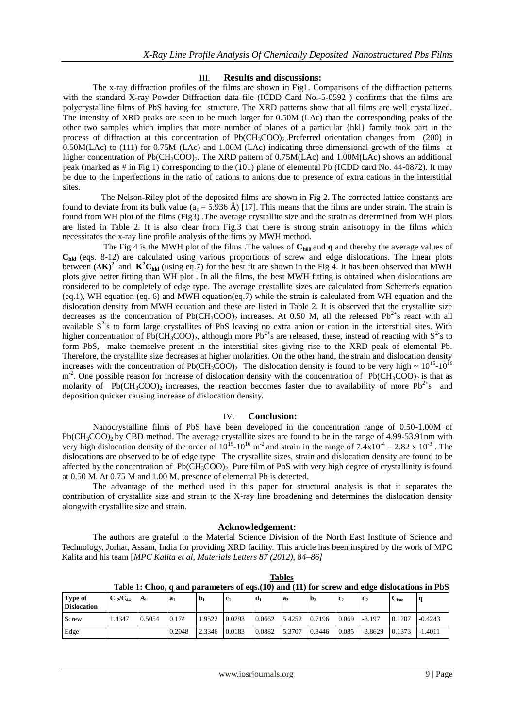## III. **Results and discussions:**

The x-ray diffraction profiles of the films are shown in Fig1. Comparisons of the diffraction patterns with the standard X-ray Powder Diffraction data file (ICDD Card No.-5-0592 ) confirms that the films are polycrystalline films of PbS having fcc structure. The XRD patterns show that all films are well crystallized. The intensity of XRD peaks are seen to be much larger for 0.50M (LAc) than the corresponding peaks of the other two samples which implies that more number of planes of a particular {hkl} family took part in the process of diffraction at this concentration of  $Pb(CH_3COO)_2$ . Preferred orientation changes from (200) in 0.50M(LAc) to (111) for 0.75M (LAc) and 1.00M (LAc) indicating three dimensional growth of the films at higher concentration of  $Pb(CH_3COO)$ . The XRD pattern of 0.75M(LAc) and 1.00M(LAc) shows an additional peak (marked as # in Fig 1) corresponding to the (101) plane of elemental Pb (ICDD card No. 44-0872). It may be due to the imperfections in the ratio of cations to anions due to presence of extra cations in the interstitial sites.

 The Nelson-Riley plot of the deposited films are shown in Fig 2. The corrected lattice constants are found to deviate from its bulk value ( $a_0 = 5.936$  Å) [17]. This means that the films are under strain. The strain is found from WH plot of the films (Fig3) .The average crystallite size and the strain as determined from WH plots are listed in Table 2. It is also clear from Fig.3 that there is strong strain anisotropy in the films which necessitates the x-ray line profile analysis of the fims by MWH method.

The Fig 4 is the MWH plot of the films .The values of  $C_{b00}$  and q and thereby the average values of **Chkl** (eqs. 8-12) are calculated using various proportions of screw and edge dislocations. The linear plots between  $( \Delta K)^2$  and  $K^2C_{hkl}$  (using eq.7) for the best fit are shown in the Fig 4. It has been observed that MWH plots give better fitting than WH plot . In all the films, the best MWH fitting is obtained when dislocations are considered to be completely of edge type. The average crystallite sizes are calculated from Scherrer's equation (eq.1), WH equation (eq. 6) and MWH equation(eq.7) while the strain is calculated from WH equation and the dislocation density from MWH equation and these are listed in Table 2. It is observed that the crystallite size decreases as the concentration of  $Pb(CH_3COO)_2$  increases. At 0.50 M, all the released  $Pb^{2+}$ s react with all available  $S<sup>2</sup>$ s to form large crystallites of PbS leaving no extra anion or cation in the interstitial sites. With higher concentration of Pb(CH<sub>3</sub>COO)<sub>2</sub>, although more Pb<sup>2+</sup>s are released, these, instead of reacting with S<sup>2-</sup>s to form PbS, make themselve present in the interstitial sites giving rise to the XRD peak of elemental Pb. Therefore, the crystallite size decreases at higher molarities. On the other hand, the strain and dislocation density increases with the concentration of Pb(CH<sub>3</sub>COO)<sub>2</sub>. The dislocation density is found to be very high  $\sim 10^{15}$ -10<sup>16</sup>  $m<sup>2</sup>$ . One possible reason for increase of dislocation density with the concentration of Pb(CH<sub>3</sub>COO)<sub>2</sub> is that as molarity of Pb(CH<sub>3</sub>COO)<sub>2</sub> increases, the reaction becomes faster due to availability of more Pb<sup>2+</sup>s and deposition quicker causing increase of dislocation density.

## IV. **Conclusion:**

Nanocrystalline films of PbS have been developed in the concentration range of 0.50-1.00M of  $Pb(CH_3COO)$ , by CBD method. The average crystallite sizes are found to be in the range of 4.99-53.91nm with very high dislocation density of the order of  $10^{15}$ - $10^{16}$  m<sup>-2</sup> and strain in the range of  $7.4 \times 10^{-4}$  – 2.82 x  $10^{-3}$ . The dislocations are observed to be of edge type. The crystallite sizes, strain and dislocation density are found to be affected by the concentration of  $Pb(CH_3COO)_2$ . Pure film of PbS with very high degree of crystallinity is found at 0.50 M. At 0.75 M and 1.00 M, presence of elemental Pb is detected.

 The advantage of the method used in this paper for structural analysis is that it separates the contribution of crystallite size and strain to the X-ray line broadening and determines the dislocation density alongwith crystallite size and strain.

## **Acknowledgement:**

The authors are grateful to the Material Science Division of the North East Institute of Science and Technology, Jorhat, Assam, India for providing XRD facility. This article has been inspired by the work of MPC Kalita and his team [*MPC Kalita et al, Materials Letters 87 (2012), 84–86]*

| <b>Type of</b><br><b>Dislocation</b> | $C_{12}/C_{44}$ | $A_i$  | $a_1$  | $D_1$  | Tavic 1. Choo, y and parameters of egs, To/ and (11/101 serew and eage disjocations in 1 bb<br>c <sub>1</sub> | a <sub>1</sub> | a <sub>2</sub> | b <sub>2</sub> | $\mathbf{c}_2$ | $\mathbf{d}_2$ | U <sub>hoo</sub> |           |
|--------------------------------------|-----------------|--------|--------|--------|---------------------------------------------------------------------------------------------------------------|----------------|----------------|----------------|----------------|----------------|------------------|-----------|
| Screw                                | .4347           | 0.5054 | 0.174  | 1.9522 | 0.0293                                                                                                        | 0.0662         | 5.4252         | 0.7196         | 0.069          | $-3.197$       | 0.1207           | $-0.4243$ |
| Edge                                 |                 |        | 0.2048 | 2.3346 | 0.0183                                                                                                        | 0.0882         | 5.3707         | 0.8446         | 0.085          | $-3.8629$      | 0.1373           | $-1.4011$ |

**Tables** Table 1**: Choo, q and parameters of eqs.(10) and (11) for screw and edge dislocations in PbS**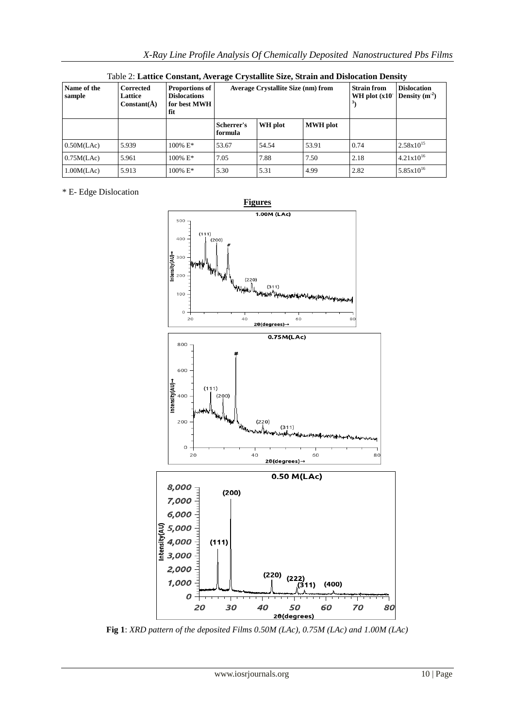| Name of the<br>sample | <b>Proportions of</b><br><b>Corrected</b><br><b>Dislocations</b><br>Lattice<br>$Constant(\AA)$<br>for best MWH<br>fit |                        |                       | <b>Average Crystallite Size (nm) from</b> | <b>Strain from</b><br>WH plot $(x10)$ | <b>Dislocation</b><br>Density $(m-2)$ |                       |
|-----------------------|-----------------------------------------------------------------------------------------------------------------------|------------------------|-----------------------|-------------------------------------------|---------------------------------------|---------------------------------------|-----------------------|
|                       |                                                                                                                       |                        | Scherrer's<br>formula | WH plot                                   | <b>MWH</b> plot                       |                                       |                       |
| 0.50M(LAc)            | 5.939                                                                                                                 | $100\%$ E <sup>*</sup> | 53.67                 | 54.54                                     | 53.91                                 | 0.74                                  | $2.58 \times 10^{15}$ |
| 0.75M(LAc)            | 5.961                                                                                                                 | $100\%$ E*             | 7.05                  | 7.88                                      | 7.50                                  | 2.18                                  | $4.21 \times 10^{16}$ |
| 1.00M(LAc)            | 5.913                                                                                                                 | $100\%$ E*             | 5.30                  | 5.31                                      | 4.99                                  | 2.82                                  | $5.85 \times 10^{16}$ |

Table 2: **Lattice Constant, Average Crystallite Size, Strain and Dislocation Density**

# \* E- Edge Dislocation



**Fig 1**: *XRD pattern of the deposited Films 0.50M (LAc), 0.75M (LAc) and 1.00M (LAc)*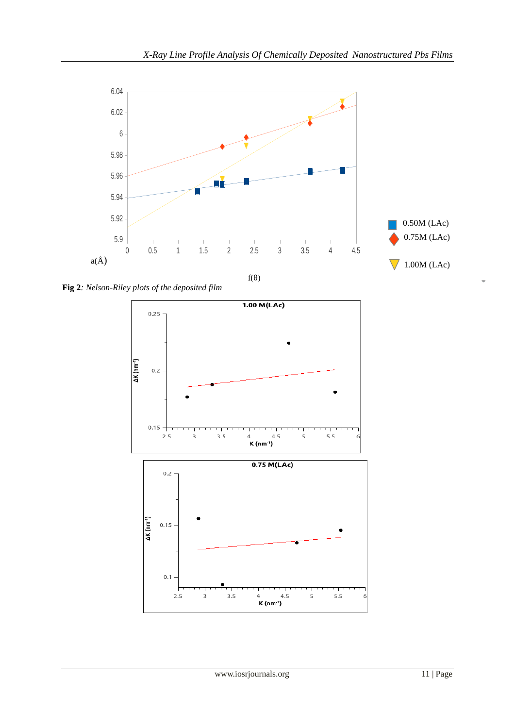

**Fig 2***: Nelson-Riley plots of the deposited film*

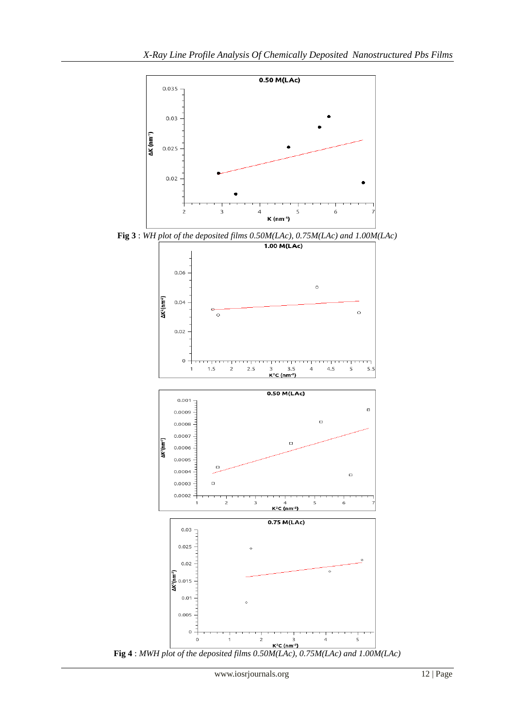